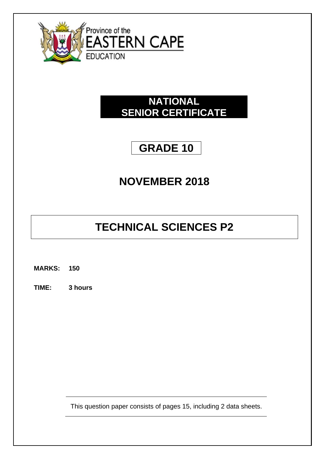

### **NATIONAL SENIOR CERTIFICATE**

## **GRADE 10**

## **NOVEMBER 2018**

# **TECHNICAL SCIENCES P2**

**MARKS: 150**

**TIME: 3 hours**

This question paper consists of pages 15, including 2 data sheets.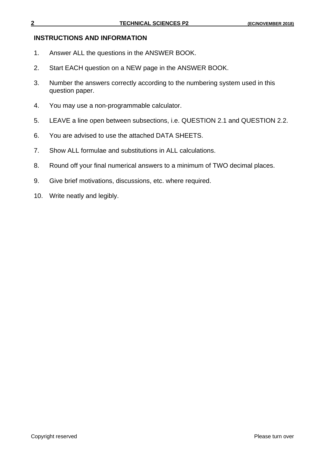#### **INSTRUCTIONS AND INFORMATION**

- 1. Answer ALL the questions in the ANSWER BOOK.
- 2. Start EACH question on a NEW page in the ANSWER BOOK.
- 3. Number the answers correctly according to the numbering system used in this question paper.
- 4. You may use a non-programmable calculator.
- 5. LEAVE a line open between subsections, i.e. QUESTION 2.1 and QUESTION 2.2.
- 6. You are advised to use the attached DATA SHEETS.
- 7. Show ALL formulae and substitutions in ALL calculations.
- 8. Round off your final numerical answers to a minimum of TWO decimal places.
- 9. Give brief motivations, discussions, etc. where required.
- 10. Write neatly and legibly.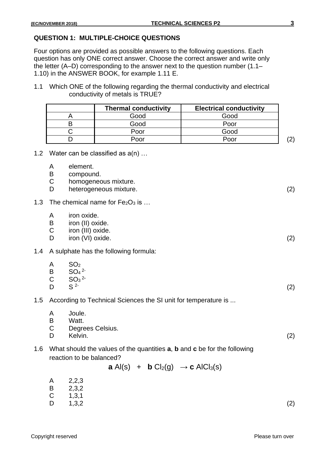#### **QUESTION 1: MULTIPLE-CHOICE QUESTIONS**

Four options are provided as possible answers to the following questions. Each question has only ONE correct answer. Choose the correct answer and write only the letter (A–D) corresponding to the answer next to the question number (1.1– 1.10) in the ANSWER BOOK, for example 1.11 E.

1.1 Which ONE of the following regarding the thermal conductivity and electrical conductivity of metals is TRUE?

| <b>Thermal conductivity</b> | <b>Electrical conductivity</b> |     |
|-----------------------------|--------------------------------|-----|
| Good                        | Good                           |     |
| Good                        | Poor                           |     |
| Poor                        | Good                           |     |
| Poor                        | Poor                           | ור' |

- 1.2 Water can be classified as  $a(n)$  ...
	- A element.
	- B compound.
	- C homogeneous mixture.
	- D heterogeneous mixture. (2)
- 1.3 The chemical name for  $Fe<sub>2</sub>O<sub>3</sub>$  is  $\dots$ 
	- A iron oxide.
	- B iron (II) oxide.
	- C iron (III) oxide.
	- D iron (VI) oxide. (2)
- 1.4 A sulphate has the following formula:

| $\mathsf{A}$ | SO <sub>2</sub>   |     |
|--------------|-------------------|-----|
|              | <b>B</b> $SO_4^2$ |     |
|              | C $SO_3^2$        |     |
| D            | $S^2$             | (2) |

- 1.5 According to Technical Sciences the SI unit for temperature is ...
	- A Joule.<br>B Watt
	- Watt
	- C Degrees Celsius.
	- D Kelvin. (2)
- 1.6 What should the values of the quantities **a**, **b** and **c** be for the following reaction to be balanced?

**a** 
$$
AI(s)
$$
 + **b**  $CI_2(g)$   $\rightarrow$  **c**  $AICl_3(s)$ 

- A 2,2,3
- B 2,3,2
- $C = 1,3,1$
- D  $1,3,2$  (2)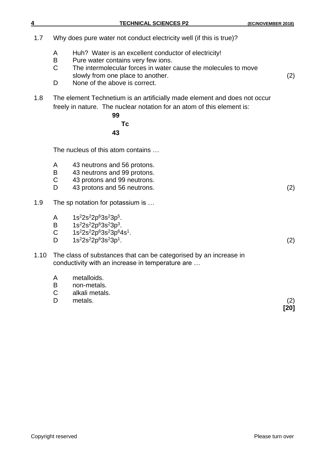| 4    | <b>TECHNICAL SCIENCES P2</b>                                                                                                                                                                                                                                     | (EC/NOVEMBER 2018) |
|------|------------------------------------------------------------------------------------------------------------------------------------------------------------------------------------------------------------------------------------------------------------------|--------------------|
| 1.7  | Why does pure water not conduct electricity well (if this is true)?                                                                                                                                                                                              |                    |
|      | Huh? Water is an excellent conductor of electricity!<br>A<br>B<br>Pure water contains very few ions.<br>$\mathsf C$<br>The intermolecular forces in water cause the molecules to move<br>slowly from one place to another.<br>D<br>None of the above is correct. | (2)                |
| 1.8  | The element Technetium is an artificially made element and does not occur<br>freely in nature. The nuclear notation for an atom of this element is:<br>99<br>Тc<br>43                                                                                            |                    |
|      | The nucleus of this atom contains                                                                                                                                                                                                                                |                    |
|      | A<br>43 neutrons and 56 protons.<br>B<br>43 neutrons and 99 protons.<br>$\mathsf C$<br>43 protons and 99 neutrons.<br>D<br>43 protons and 56 neutrons.                                                                                                           | (2)                |
| 1.9  | The sp notation for potassium is                                                                                                                                                                                                                                 |                    |
|      | $1s^{2}2s^{2}2p^{6}3s^{2}3p^{5}$ .<br>A<br>$1s^{2}2s^{2}2p^{6}3s^{2}3p^{3}$ .<br>B<br>1s <sup>2</sup> 2s <sup>2</sup> 2p <sup>6</sup> 3s <sup>2</sup> 3p <sup>6</sup> 4s <sup>1</sup> .<br>$\mathsf C$<br>$1s^{2}2s^{2}2p^{6}3s^{2}3p^{1}$ .<br>D                | (2)                |
| 1.10 | The class of substances that can be categorised by an increase in<br>conductivity with an increase in temperature are                                                                                                                                            |                    |
|      | metalloids.<br>A<br>B<br>non-metals.<br>$\mathsf C$<br>alkali metals.<br>D<br>metals.                                                                                                                                                                            | (2)<br>[20]        |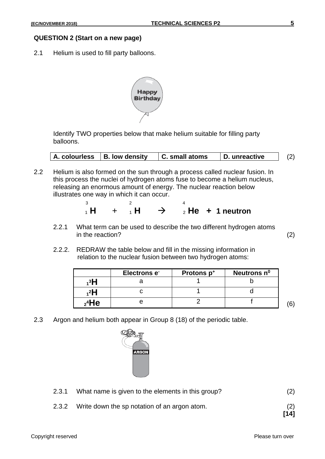#### **QUESTION 2 (Start on a new page)**

2.1 Helium is used to fill party balloons.



Identify TWO properties below that make helium suitable for filling party balloons.

| A. colourless B. low density |  | $\mid$ C. small atoms | D. unreactive |  |  |  |
|------------------------------|--|-----------------------|---------------|--|--|--|
|------------------------------|--|-----------------------|---------------|--|--|--|

2.2 Helium is also formed on the sun through a process called nuclear fusion. In this process the nuclei of hydrogen atoms fuse to become a helium nucleus, releasing an enormous amount of energy. The nuclear reaction below illustrates one way in which it can occur.

|  |  |  | $_1$ H + $_1$ H $\rightarrow$ $_2$ He + 1 neutron |
|--|--|--|---------------------------------------------------|

- 2.2.1 What term can be used to describe the two different hydrogen atoms in the reaction? (2)
- 2.2.2. REDRAW the table below and fill in the missing information in relation to the nuclear fusion between two hydrogen atoms:

|          | Electrons e <sup>-</sup> | Protons p+ | Neutrons n <sup>o</sup> |  |
|----------|--------------------------|------------|-------------------------|--|
| зН       |                          |            |                         |  |
| 2H       |                          |            |                         |  |
| $2^4$ He |                          |            |                         |  |

2.3 Argon and helium both appear in Group 8 (18) of the periodic table.



- 2.3.1 What name is given to the elements in this group? (2)
- 2.3.2 Write down the sp notation of an argon atom. (2)

**[14]**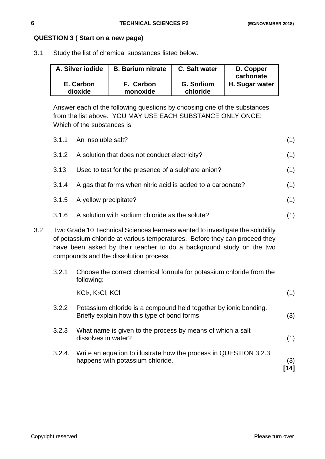#### **QUESTION 3 ( Start on a new page)**

3.1 Study the list of chemical substances listed below.

| A. Silver iodide | <b>B. Barium nitrate</b> | C. Salt water | D. Copper<br>carbonate |
|------------------|--------------------------|---------------|------------------------|
| E. Carbon        | F. Carbon                | G. Sodium     | H. Sugar water         |
| dioxide          | monoxide                 | chloride      |                        |

Answer each of the following questions by choosing one of the substances from the list above. YOU MAY USE EACH SUBSTANCE ONLY ONCE: Which of the substances is:

|                  | 3.1.1  | An insoluble salt?                                                                                                                                                                                                                                                             | (1)           |
|------------------|--------|--------------------------------------------------------------------------------------------------------------------------------------------------------------------------------------------------------------------------------------------------------------------------------|---------------|
|                  | 3.1.2  | A solution that does not conduct electricity?                                                                                                                                                                                                                                  | (1)           |
|                  | 3.13   | Used to test for the presence of a sulphate anion?                                                                                                                                                                                                                             | (1)           |
|                  | 3.1.4  | A gas that forms when nitric acid is added to a carbonate?                                                                                                                                                                                                                     | (1)           |
|                  | 3.1.5  | A yellow precipitate?                                                                                                                                                                                                                                                          | (1)           |
|                  | 3.1.6  | A solution with sodium chloride as the solute?                                                                                                                                                                                                                                 | (1)           |
| 3.2 <sub>2</sub> |        | Two Grade 10 Technical Sciences learners wanted to investigate the solubility<br>of potassium chloride at various temperatures. Before they can proceed they<br>have been asked by their teacher to do a background study on the two<br>compounds and the dissolution process. |               |
|                  | 3.2.1  | Choose the correct chemical formula for potassium chloride from the<br>following:                                                                                                                                                                                              |               |
|                  |        | KCI <sub>2</sub> , K <sub>2</sub> CI, KCI                                                                                                                                                                                                                                      | (1)           |
|                  | 3.2.2  | Potassium chloride is a compound held together by ionic bonding.<br>Briefly explain how this type of bond forms.                                                                                                                                                               | (3)           |
|                  | 3.2.3  | What name is given to the process by means of which a salt<br>dissolves in water?                                                                                                                                                                                              | (1)           |
|                  | 3.2.4. | Write an equation to illustrate how the process in QUESTION 3.2.3<br>happens with potassium chloride.                                                                                                                                                                          | (3)<br>$[14]$ |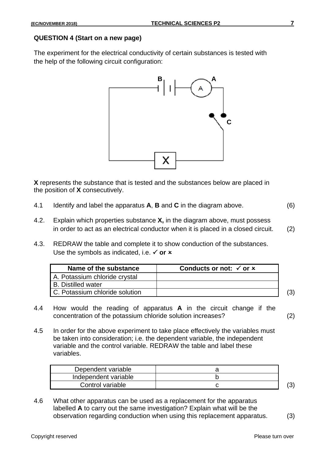#### **QUESTION 4 (Start on a new page)**

The experiment for the electrical conductivity of certain substances is tested with the help of the following circuit configuration:



**X** represents the substance that is tested and the substances below are placed in the position of **X** consecutively.

- 4.1 Identify and label the apparatus **A**, **B** and **C** in the diagram above. (6)
- 4.2. Explain which properties substance **X,** in the diagram above, must possess in order to act as an electrical conductor when it is placed in a closed circuit. (2)
- 4.3. REDRAW the table and complete it to show conduction of the substances. Use the symbols as indicated, i.e.  $\checkmark$  or  $\checkmark$

| Name of the substance          | Conducts or not: $\checkmark$ or $\checkmark$ |  |
|--------------------------------|-----------------------------------------------|--|
| A. Potassium chloride crystal  |                                               |  |
| <b>B.</b> Distilled water      |                                               |  |
| C. Potassium chloride solution |                                               |  |

- 4.4 How would the reading of apparatus **A** in the circuit change if the concentration of the potassium chloride solution increases? (2)
- 4.5 In order for the above experiment to take place effectively the variables must be taken into consideration; i.e. the dependent variable, the independent variable and the control variable. REDRAW the table and label these variables.

| Dependent variable   |  |
|----------------------|--|
| Independent variable |  |
| Control variable     |  |

4.6 What other apparatus can be used as a replacement for the apparatus labelled **A** to carry out the same investigation? Explain what will be the observation regarding conduction when using this replacement apparatus. (3)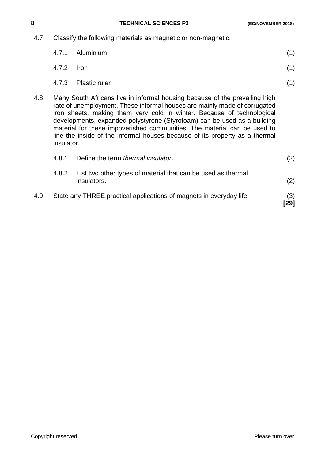| 4.7 | Classify the following materials as magnetic or non-magnetic: |                                                                                                                                                                                                                                                                                                                                                                                                                                                                           |     |  |  |  |
|-----|---------------------------------------------------------------|---------------------------------------------------------------------------------------------------------------------------------------------------------------------------------------------------------------------------------------------------------------------------------------------------------------------------------------------------------------------------------------------------------------------------------------------------------------------------|-----|--|--|--|
|     | 4.7.1                                                         | Aluminium                                                                                                                                                                                                                                                                                                                                                                                                                                                                 | (1) |  |  |  |
|     | 4.7.2                                                         | <b>Iron</b>                                                                                                                                                                                                                                                                                                                                                                                                                                                               | (1) |  |  |  |
|     | 4.7.3                                                         | <b>Plastic ruler</b>                                                                                                                                                                                                                                                                                                                                                                                                                                                      | (1) |  |  |  |
| 4.8 | insulator.                                                    | Many South Africans live in informal housing because of the prevailing high<br>rate of unemployment. These informal houses are mainly made of corrugated<br>iron sheets, making them very cold in winter. Because of technological<br>developments, expanded polystyrene (Styrofoam) can be used as a building<br>material for these impoverished communities. The material can be used to<br>line the inside of the informal houses because of its property as a thermal |     |  |  |  |
|     | 4.8.1                                                         | Define the term <i>thermal insulator</i> .                                                                                                                                                                                                                                                                                                                                                                                                                                | (2) |  |  |  |
|     | 4.8.2                                                         | List two other types of material that can be used as thermal<br>insulators.                                                                                                                                                                                                                                                                                                                                                                                               | (2) |  |  |  |
| 4.9 |                                                               | State any THREE practical applications of magnets in everyday life.                                                                                                                                                                                                                                                                                                                                                                                                       | (3) |  |  |  |

**[29]**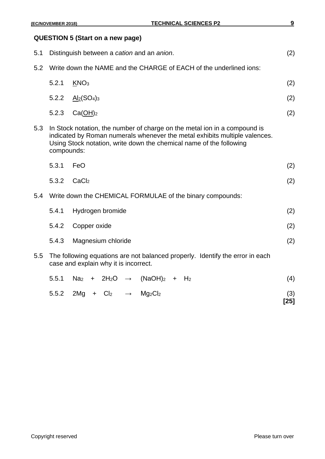#### **QUESTION 5 (Start on a new page)**

| 5.1 |            | Distinguish between a cation and an anion.                                                                                                                                                                                     | (2)         |
|-----|------------|--------------------------------------------------------------------------------------------------------------------------------------------------------------------------------------------------------------------------------|-------------|
| 5.2 |            | Write down the NAME and the CHARGE of EACH of the underlined ions:                                                                                                                                                             |             |
|     | 5.2.1      | KNO <sub>3</sub>                                                                                                                                                                                                               | (2)         |
|     | 5.2.2      | $\underline{\mathrm{Al}_2}(\mathrm{SO}_4)_3$                                                                                                                                                                                   | (2)         |
|     | 5.2.3      | $Ca(\underline{OH})_2$                                                                                                                                                                                                         | (2)         |
| 5.3 | compounds: | In Stock notation, the number of charge on the metal ion in a compound is<br>indicated by Roman numerals whenever the metal exhibits multiple valences.<br>Using Stock notation, write down the chemical name of the following |             |
|     | 5.3.1      | FeO                                                                                                                                                                                                                            | (2)         |
|     | 5.3.2      | CaCl <sub>2</sub>                                                                                                                                                                                                              | (2)         |
| 5.4 |            | Write down the CHEMICAL FORMULAE of the binary compounds:                                                                                                                                                                      |             |
|     | 5.4.1      | Hydrogen bromide                                                                                                                                                                                                               | (2)         |
|     | 5.4.2      | Copper oxide                                                                                                                                                                                                                   | (2)         |
|     | 5.4.3      | Magnesium chloride                                                                                                                                                                                                             | (2)         |
| 5.5 |            | The following equations are not balanced properly. Identify the error in each<br>case and explain why it is incorrect.                                                                                                         |             |
|     | 5.5.1      | 2H <sub>2</sub> O<br>$(NaOH)_2$<br>Na <sub>2</sub><br>$+$ H <sub>2</sub><br>$+$<br>$\rightarrow$                                                                                                                               | (4)         |
|     | 5.5.2      | 2Mg<br>Cl <sub>2</sub><br>Mg <sub>2</sub> Cl <sub>2</sub><br>$\pm$<br>$\rightarrow$                                                                                                                                            | (3)<br>[25] |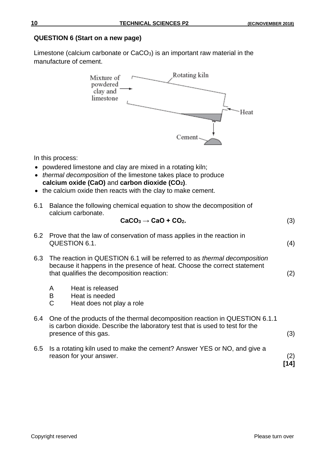#### **QUESTION 6 (Start on a new page)**

Limestone (calcium carbonate or CaCO3) is an important raw material in the manufacture of cement.



In this process:

- powdered limestone and clay are mixed in a rotating kiln;
- *thermal decomposition* of the limestone takes place to produce **calcium oxide (CaO)** and **carbon dioxide (CO2)**.
- the calcium oxide then reacts with the clay to make cement.
- 6.1 Balance the following chemical equation to show the decomposition of calcium carbonate.

$$
CaCO3 \rightarrow CaO + CO2.
$$
 (3)

|     | 6.2 Prove that the law of conservation of mass applies in the reaction in<br>QUESTION 6.1.                                                                                                          |                                                                 |  |  |  |  |
|-----|-----------------------------------------------------------------------------------------------------------------------------------------------------------------------------------------------------|-----------------------------------------------------------------|--|--|--|--|
| 6.3 | The reaction in QUESTION 6.1 will be referred to as thermal decomposition<br>because it happens in the presence of heat. Choose the correct statement<br>that qualifies the decomposition reaction: |                                                                 |  |  |  |  |
|     | A<br>B<br>C                                                                                                                                                                                         | Heat is released<br>Heat is needed<br>Heat does not play a role |  |  |  |  |
| 6.4 | One of the products of the thermal decomposition reaction in QUESTION 6.1.1<br>is carbon dioxide. Describe the laboratory test that is used to test for the<br>presence of this gas.                |                                                                 |  |  |  |  |
| 6.5 | Is a rotating kiln used to make the cement? Answer YES or NO, and give a<br>reason for your answer.                                                                                                 |                                                                 |  |  |  |  |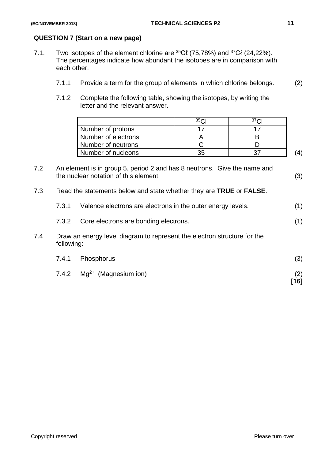#### **QUESTION 7 (Start on a new page)**

- 7.1. Two isotopes of the element chlorine are  ${}^{35}C\ell$  (75,78%) and  ${}^{37}C\ell$  (24,22%). The percentages indicate how abundant the isotopes are in comparison with each other.
	- 7.1.1 Provide a term for the group of elements in which chlorine belongs. (2)
	- 7.1.2 Complete the following table, showing the isotopes, by writing the letter and the relevant answer.

|                     | 35 <sub>6</sub> |  |
|---------------------|-----------------|--|
| Number of protons   |                 |  |
| Number of electrons |                 |  |
| Number of neutrons  |                 |  |
| Number of nucleons  |                 |  |

| 7.2 | An element is in group 5, period 2 and has 8 neutrons. Give the name and |     |
|-----|--------------------------------------------------------------------------|-----|
|     | the nuclear notation of this element.                                    | (3) |

7.3 Read the statements below and state whether they are **TRUE** or **FALSE**.

|     | 7.3.1                                          | Valence electrons are electrons in the outer energy levels.                            | (1) |  |  |  |  |  |
|-----|------------------------------------------------|----------------------------------------------------------------------------------------|-----|--|--|--|--|--|
|     | Core electrons are bonding electrons.<br>7.3.2 |                                                                                        |     |  |  |  |  |  |
| 7.4 |                                                | Draw an energy level diagram to represent the electron structure for the<br>following: |     |  |  |  |  |  |
|     | 7.4.1                                          | Phosphorus                                                                             | (3) |  |  |  |  |  |
|     | 7.4.2                                          | $Mg^{2+}$ (Magnesium ion)                                                              |     |  |  |  |  |  |

**[16]**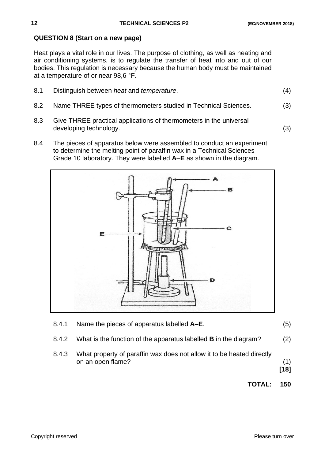#### **QUESTION 8 (Start on a new page)**

Heat plays a vital role in our lives. The purpose of clothing, as well as heating and air conditioning systems, is to regulate the transfer of heat into and out of our bodies. This regulation is necessary because the human body must be maintained at a temperature of or near 98,6 °F.

| 8.1 | Distinguish between <i>heat</i> and <i>temperature</i> .        | (4) |
|-----|-----------------------------------------------------------------|-----|
| 8.2 | Name THREE types of thermometers studied in Technical Sciences. | (3) |

- 8.3 Give THREE practical applications of thermometers in the universal developing technology. (3)
- 8.4 The pieces of apparatus below were assembled to conduct an experiment to determine the melting point of paraffin wax in a Technical Sciences Grade 10 laboratory. They were labelled **A**–**E** as shown in the diagram.



| 8.4.1 | Name the pieces of apparatus labelled A-E.                                                 | (5)           |
|-------|--------------------------------------------------------------------------------------------|---------------|
| 8.4.2 | What is the function of the apparatus labelled <b>B</b> in the diagram?                    | (2)           |
| 8.4.3 | What property of paraffin wax does not allow it to be heated directly<br>on an open flame? | (1)<br>$[18]$ |
|       | <b>TOTAL:</b>                                                                              | 150           |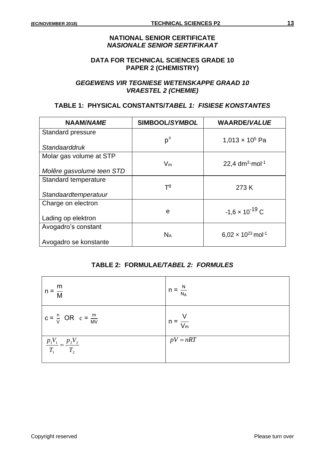#### **NATIONAL SENIOR CERTIFICATE** *NASIONALE SENIOR SERTIFIKAAT*

#### **DATA FOR TECHNICAL SCIENCES GRADE 10 PAPER 2 (CHEMISTRY)**

#### *GEGEWENS VIR TEGNIESE WETENSKAPPE GRAAD 10 VRAESTEL 2 (CHEMIE)*

#### **TABLE 1: PHYSICAL CONSTANTS/***TABEL 1: FISIESE KONSTANTES*

| <b>NAAM/NAME</b>          | SIMBOOL/SYMBOL       | <b>WAARDE/VALUE</b>                              |
|---------------------------|----------------------|--------------------------------------------------|
| Standard pressure         |                      |                                                  |
| Standaarddruk             | $p^{\theta}$         | 1,013 $\times$ 10 <sup>5</sup> Pa                |
| Molar gas volume at STP   |                      |                                                  |
|                           | $V_m$                | 22,4 $dm^3$ ·mol <sup>-1</sup>                   |
| Molêre gasvolume teen STD |                      |                                                  |
| Standard temperature      |                      |                                                  |
|                           | $T^{\theta}$         | 273 K                                            |
| Standaardtemperatuur      |                      |                                                  |
| Charge on electron        |                      |                                                  |
|                           | e                    | $-1,6 \times 10^{-19}$ C                         |
| Lading op elektron        |                      |                                                  |
| Avogadro's constant       |                      |                                                  |
|                           | <b>N<sub>A</sub></b> | 6,02 $\times$ 10 <sup>23</sup> mol <sup>-1</sup> |
| Avogadro se konstante     |                      |                                                  |

#### **TABLE 2: FORMULAE***/TABEL 2: FORMULES*

| m<br>$n = \frac{1}{M}$                  | $n = \frac{N}{n}$<br>$N_A$ |
|-----------------------------------------|----------------------------|
| $c = \frac{n}{V}$ OR $c = \frac{m}{MV}$ | $n = \frac{1}{V_m}$        |
| $rac{p_1V_1}{T_1} = \frac{p_2V_2}{T_2}$ | $pV = nRT$                 |